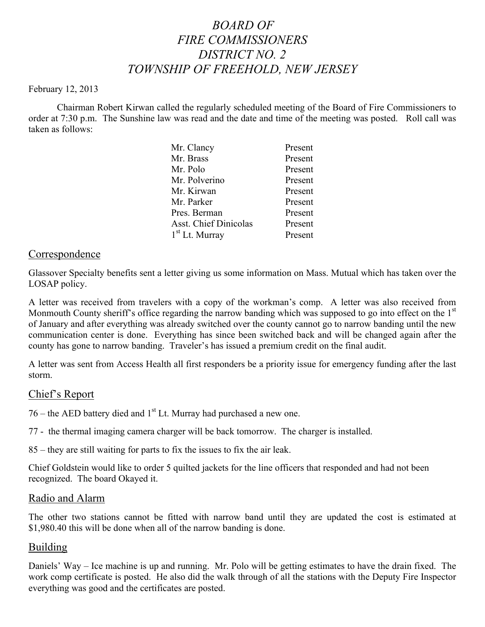# *BOARD OF FIRE COMMISSIONERS DISTRICT NO. 2 TOWNSHIP OF FREEHOLD, NEW JERSEY*

#### February 12, 2013

Chairman Robert Kirwan called the regularly scheduled meeting of the Board of Fire Commissioners to order at 7:30 p.m. The Sunshine law was read and the date and time of the meeting was posted. Roll call was taken as follows:

| Mr. Clancy            | Present |
|-----------------------|---------|
| Mr. Brass             | Present |
| Mr. Polo              | Present |
| Mr. Polverino         | Present |
| Mr. Kirwan            | Present |
| Mr. Parker            | Present |
| Pres. Berman          | Present |
| Asst. Chief Dinicolas | Present |
| $1st$ Lt. Murray      | Present |
|                       |         |

## Correspondence

Glassover Specialty benefits sent a letter giving us some information on Mass. Mutual which has taken over the LOSAP policy.

A letter was received from travelers with a copy of the workman's comp. A letter was also received from Monmouth County sheriff's office regarding the narrow banding which was supposed to go into effect on the 1<sup>st</sup> of January and after everything was already switched over the county cannot go to narrow banding until the new communication center is done. Everything has since been switched back and will be changed again after the county has gone to narrow banding. Traveler's has issued a premium credit on the final audit.

A letter was sent from Access Health all first responders be a priority issue for emergency funding after the last storm.

## Chief's Report

 $76$  – the AED battery died and  $1<sup>st</sup>$  Lt. Murray had purchased a new one.

77 - the thermal imaging camera charger will be back tomorrow. The charger is installed.

85 – they are still waiting for parts to fix the issues to fix the air leak.

Chief Goldstein would like to order 5 quilted jackets for the line officers that responded and had not been recognized. The board Okayed it.

## Radio and Alarm

The other two stations cannot be fitted with narrow band until they are updated the cost is estimated at \$1,980.40 this will be done when all of the narrow banding is done.

## **Building**

Daniels' Way – Ice machine is up and running. Mr. Polo will be getting estimates to have the drain fixed. The work comp certificate is posted. He also did the walk through of all the stations with the Deputy Fire Inspector everything was good and the certificates are posted.